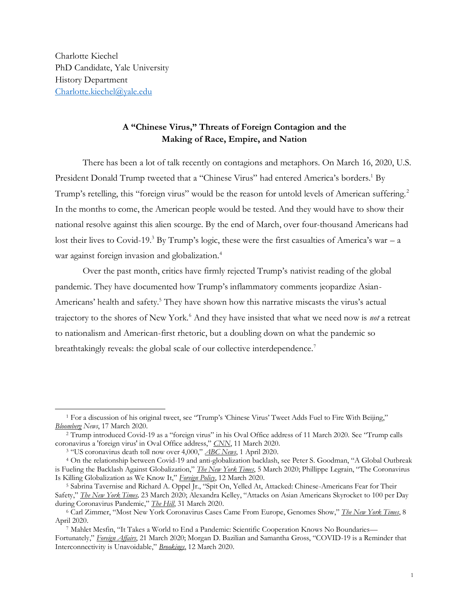Charlotte Kiechel PhD Candidate, Yale University History Department [Charlotte.kiechel@yale.edu](mailto:Charlotte.kiechel@yale.edu)

## **A "Chinese Virus," Threats of Foreign Contagion and the Making of Race, Empire, and Nation**

There has been a lot of talk recently on contagions and metaphors. On March 16, 2020, U.S. President Donald Trump tweeted that a "Chinese Virus" had entered America's borders.<sup>1</sup> By Trump's retelling, this "foreign virus" would be the reason for untold levels of American suffering.<sup>2</sup> In the months to come, the American people would be tested. And they would have to show their national resolve against this alien scourge. By the end of March, over four-thousand Americans had lost their lives to Covid-19.<sup>3</sup> By Trump's logic, these were the first casualties of America's war – a war against foreign invasion and globalization.<sup>4</sup>

Over the past month, critics have firmly rejected Trump's nativist reading of the global pandemic. They have documented how Trump's inflammatory comments jeopardize Asian-Americans' health and safety.<sup>5</sup> They have shown how this narrative miscasts the virus's actual trajectory to the shores of New York.<sup>6</sup> And they have insisted that what we need now is *not* a retreat to nationalism and American-first rhetoric, but a doubling down on what the pandemic so breathtakingly reveals: the global scale of our collective interdependence.<sup>7</sup>

<sup>3</sup> "US coronavirus death toll now over 4,000," *[ABC News](https://abcnews.go.com/Health/coronavirus-live-updates-us-open-tennis-complex-transform/story?id=69889301)*, 1 April 2020.

<sup>1</sup> For a discussion of his original tweet, see "Trump's 'Chinese Virus' Tweet Adds Fuel to Fire With Beijing," *[Bloomberg](https://www.bloomberg.com/news/articles/2020-03-17/trump-s-chinese-virus-tweet-adds-fuel-to-fire-with-beijing) News*, 17 March 2020.

<sup>2</sup> Trump introduced Covid-19 as a "foreign virus" in his Oval Office address of 11 March 2020. See "Trump calls coronavirus a 'foreign virus' in Oval Office address," *[CNN](https://www.cnn.com/2020/03/11/politics/coronavirus-trump-foreign-virus/index.html)*, 11 March 2020.

<sup>4</sup> On the relationship between Covid-19 and anti-globalization backlash, see Peter S. Goodman, "A Global Outbreak is Fueling the Backlash Against Globalization," *[The New York Times](https://www.nytimes.com/2020/03/05/business/coronavirus-globalism.html)*, 5 March 2020; Phillippe Legrain, "The Coronavirus Is Killing Globalization as We Know It," *[Foreign Policy](https://foreignpolicy.com/2020/03/12/coronavirus-killing-globalization-nationalism-protectionism-trump/)*, 12 March 2020.

<sup>5</sup> Sabrina Tavernise and Richard A. Oppel Jr., "Spit On, Yelled At, Attacked: Chinese-Americans Fear for Their Safety," *[The New York Times,](https://www.nytimes.com/2020/03/23/us/chinese-coronavirus-racist-attacks.html)* 23 March 2020; Alexandra Kelley, "Attacks on Asian Americans Skyrocket to 100 per Day during Coronavirus Pandemic," *[The Hill](https://thehill.com/changing-america/respect/equality/490373-attacks-on-asian-americans-at-about-100-per-day-due-to)*, 31 March 2020.

<sup>6</sup> Carl Zimmer, "Most New York Coronavirus Cases Came From Europe, Genomes Show," *[The New York Times](https://www.nytimes.com/2020/04/08/science/new-york-coronavirus-cases-europe-genomes.html)*, 8 April 2020.

<sup>7</sup> Mahlet Mesfin, "It Takes a World to End a Pandemic: Scientific Cooperation Knows No Boundaries— Fortunately," *[Foreign Affairs](https://www.foreignaffairs.com/articles/2020-03-21/it-takes-world-end-pandemic)*, 21 March 2020; Morgan D. Bazilian and Samantha Gross, "COVID-19 is a Reminder that Interconnectivity is Unavoidable," *[Brookings](https://www.brookings.edu/blog/order-from-chaos/2020/03/12/covid-19-is-a-reminder-that-interconnectivity-is-unavoidable/)*, 12 March 2020.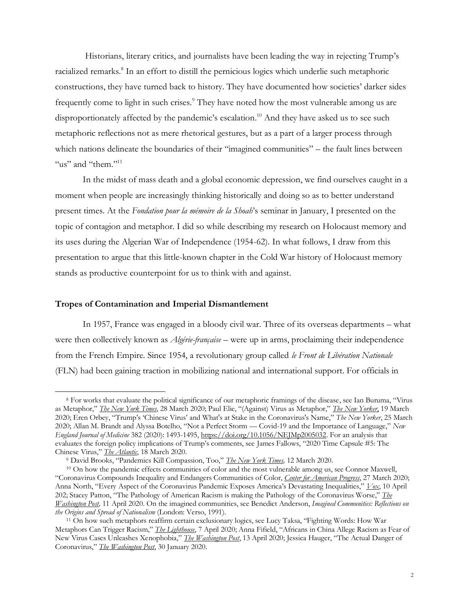Historians, literary critics, and journalists have been leading the way in rejecting Trump's racialized remarks.<sup>8</sup> In an effort to distill the pernicious logics which underlie such metaphoric constructions, they have turned back to history. They have documented how societies' darker sides frequently come to light in such crises.<sup>9</sup> They have noted how the most vulnerable among us are disproportionately affected by the pandemic's escalation. <sup>10</sup> And they have asked us to see such metaphoric reflections not as mere rhetorical gestures, but as a part of a larger process through which nations delineate the boundaries of their "imagined communities" – the fault lines between "us" and "them." $11$ 

In the midst of mass death and a global economic depression, we find ourselves caught in a moment when people are increasingly thinking historically and doing so as to better understand present times. At the *Fondation pour la mémoire de la Shoah*'s seminar in January, I presented on the topic of contagion and metaphor. I did so while describing my research on Holocaust memory and its uses during the Algerian War of Independence (1954-62). In what follows, I draw from this presentation to argue that this little-known chapter in the Cold War history of Holocaust memory stands as productive counterpoint for us to think with and against.

## **Tropes of Contamination and Imperial Dismantlement**

In 1957, France was engaged in a bloody civil war. Three of its overseas departments – what were then collectively known as *Algérie-française* – were up in arms, proclaiming their independence from the French Empire. Since 1954, a revolutionary group called *le Front de Libération Nationale* (FLN) had been gaining traction in mobilizing national and international support. For officials in

<sup>8</sup> For works that evaluate the political significance of our metaphoric framings of the disease, see Ian Buruma, "Virus as Metaphor," *[The New York Times](https://www.nytimes.com/2020/03/28/opinion/coronavirus-racism-covid.html)*, 28 March 2020; Paul Elie, "(Against) Virus as Metaphor," *[The New Yorker](https://www.newyorker.com/news/daily-comment/against-the-coronavirus-as-metaphor)*, 19 March 2020; Eren Orbey, "Trump's 'Chinese Virus' and What's at Stake in the Coronavirus's Name," *The New Yorker*, 25 March 2020; Allan M. Brandt and Alyssa Botelho, "Not a Perfect Storm — Covid-19 and the Importance of Language," *New England Journal of Medicine* 382 (2020): 1493-1495, [https://doi.org/10.1056/NEJMp2005032.](https://doi.org/10.1056/NEJMp2005032) For an analysis that evaluates the foreign policy implications of Trump's comments, see James Fallows, "2020 Time Capsule #5: The Chinese Virus," *[The Atlantic](https://www.theatlantic.com/notes/2020/03/2020-time-capsule-5-the-chinese-virus/608260/)*, 18 March 2020.

<sup>9</sup> David Brooks, "Pandemics Kill Compassion, Too," *[The New York Times,](https://www.nytimes.com/2020/03/12/opinion/pandemic-coronavirus-compassion.html)* 12 March 2020.

<sup>&</sup>lt;sup>10</sup> On how the pandemic effects communities of color and the most vulnerable among us, see Connor Maxwell, "Coronavirus Compounds Inequality and Endangers Communities of Color, *[Center for American Progress](https://www.americanprogress.org/issues/race/news/2020/03/27/482337/coronavirus-compounds-inequality-endangers-communities-color/)*, 27 March 2020; Anna North, "Every Aspect of the Coronavirus Pandemic Exposes America's Devastating Inequalities," *[Vox](https://www.vox.com/2020/4/10/21207520/coronavirus-deaths-economy-layoffs-inequality-covid-pandemic)*, 10 April 202; Stacey Patton, "The Pathology of American Racism is making the Pathology of the Coronavirus Worse," *[The](https://www.washingtonpost.com/outlook/2020/04/11/coronavirus-black-america-racism/)  [Washington Post,](https://www.washingtonpost.com/outlook/2020/04/11/coronavirus-black-america-racism/)* 11 April 2020. On the imagined communities, see Benedict Anderson, *Imagined Communities: Reflections on the Origins and Spread of Nationalism* (London: Verso, 1991).

<sup>11</sup> On how such metaphors reaffirm certain exclusionary logics, see Lucy Taksa, "Fighting Words: How War Metaphors Can Trigger Racism," *[The Lighthouse](https://lighthouse.mq.edu.au/article/march/Fighting-words-how-war-metaphors-can-trigger-racism)*, 7 April 2020; Anna Fifield, "Africans in China Allege Racism as Fear of New Virus Cases Unleashes Xenophobia," *[The Washington Post](https://www.washingtonpost.com/world/asia_pacific/africans-in-china-allege-racism-as-fear-of-new-virus-cases-unleashes-xenophobia/2020/04/13/7f606cd8-7d26-11ea-84c2-0792d8591911_story.html)*, 13 April 2020; Jessica Hauger, "The Actual Danger of Coronavirus," *[The Washington Post](https://www.washingtonpost.com/outlook/2020/01/30/real-danger-coronavirus/)*, 30 January 2020.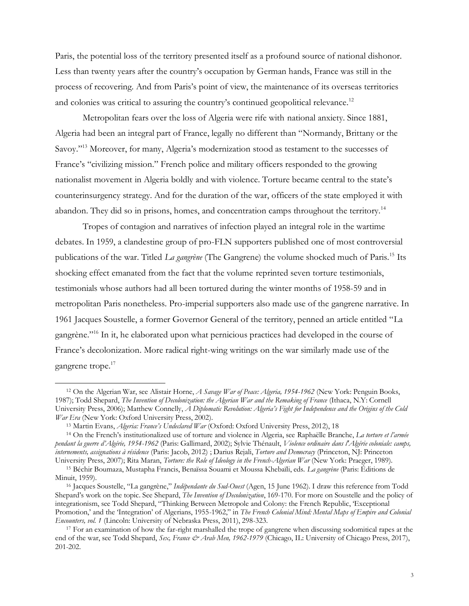Paris, the potential loss of the territory presented itself as a profound source of national dishonor. Less than twenty years after the country's occupation by German hands, France was still in the process of recovering. And from Paris's point of view, the maintenance of its overseas territories and colonies was critical to assuring the country's continued geopolitical relevance.<sup>12</sup>

Metropolitan fears over the loss of Algeria were rife with national anxiety. Since 1881, Algeria had been an integral part of France, legally no different than "Normandy, Brittany or the Savoy."<sup>13</sup> Moreover, for many, Algeria's modernization stood as testament to the successes of France's "civilizing mission." French police and military officers responded to the growing nationalist movement in Algeria boldly and with violence. Torture became central to the state's counterinsurgency strategy. And for the duration of the war, officers of the state employed it with abandon. They did so in prisons, homes, and concentration camps throughout the territory.<sup>14</sup>

Tropes of contagion and narratives of infection played an integral role in the wartime debates. In 1959, a clandestine group of pro-FLN supporters published one of most controversial publications of the war. Titled *La gangrène* (The Gangrene) the volume shocked much of Paris.<sup>15</sup> Its shocking effect emanated from the fact that the volume reprinted seven torture testimonials, testimonials whose authors had all been tortured during the winter months of 1958-59 and in metropolitan Paris nonetheless. Pro-imperial supporters also made use of the gangrene narrative. In 1961 Jacques Soustelle, a former Governor General of the territory, penned an article entitled "La gangrène."<sup>16</sup> In it, he elaborated upon what pernicious practices had developed in the course of France's decolonization. More radical right-wing writings on the war similarly made use of the gangrene trope. 17

<sup>12</sup> On the Algerian War, see Alistair Horne, *A Savage War of Peace: Algeria, 1954-1962* (New York: Penguin Books, 1987); Todd Shepard, *The Invention of Decolonization: the Algerian War and the Remaking of France* (Ithaca, N.Y: Cornell University Press, 2006); Matthew Connelly, *A Diplomatic Revolution: Algeria's Fight for Independence and the Origins of the Cold War Era* (New York: Oxford University Press, 2002).

<sup>13</sup> Martin Evans, *Algeria: France's Undeclared War* (Oxford: Oxford University Press, 2012), 18

<sup>14</sup> On the French's institutionalized use of torture and violence in Algeria, see Raphaëlle Branche, *La torture et l'armée pendant la guerre d'Algérie, 1954-1962* (Paris: Gallimard, 2002); Sylvie Thénault, *Violence ordinaire dans l'Algérie coloniale: camps, internements, assignations à résidence* (Paris: Jacob, 2012) ; Darius Rejali, *Torture and Democracy* (Princeton, NJ: Princeton University Press, 2007); Rita Maran, *Torture: the Role of Ideology in the French-Algerian War* (New York: Praeger, 1989).

<sup>15</sup> Béchir Boumaza, Mustapha Francis, Benaïssa Souami et Moussa Khebaïli, eds. *La gangrène* (Paris: Éditions de Minuit, 1959).

<sup>16</sup> Jacques Soustelle, "La gangrène," *Indépendante du Sud-Ouest* (Agen, 15 June 1962). I draw this reference from Todd Shepard's work on the topic. See Shepard, *The Invention of Decolonization*, 169-170. For more on Soustelle and the policy of integrationism, see Todd Shepard, "Thinking Between Metropole and Colony: the French Republic, 'Exceptional Promotion,' and the 'Integration' of Algerians, 1955-1962," in *The French Colonial Mind: Mental Maps of Empire and Colonial Encounters, vol. 1* (Lincoln: University of Nebraska Press, 2011), 298-323.

<sup>&</sup>lt;sup>17</sup> For an examination of how the far-right marshalled the trope of gangrene when discussing sodomitical rapes at the end of the war, see Todd Shepard, *Sex, France & Arab Men, 1962-1979* (Chicago, IL: University of Chicago Press, 2017), 201-202.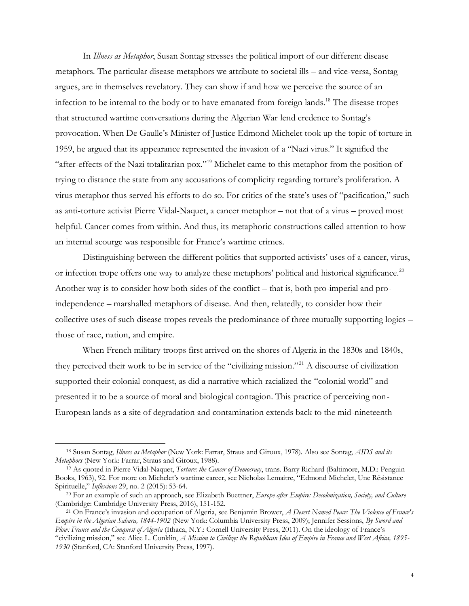In *Illness as Metaphor*, Susan Sontag stresses the political import of our different disease metaphors. The particular disease metaphors we attribute to societal ills – and vice-versa, Sontag argues, are in themselves revelatory. They can show if and how we perceive the source of an infection to be internal to the body or to have emanated from foreign lands.<sup>18</sup> The disease tropes that structured wartime conversations during the Algerian War lend credence to Sontag's provocation. When De Gaulle's Minister of Justice Edmond Michelet took up the topic of torture in 1959, he argued that its appearance represented the invasion of a "Nazi virus." It signified the "after-effects of the Nazi totalitarian pox."<sup>19</sup> Michelet came to this metaphor from the position of trying to distance the state from any accusations of complicity regarding torture's proliferation. A virus metaphor thus served his efforts to do so. For critics of the state's uses of "pacification," such as anti-torture activist Pierre Vidal-Naquet, a cancer metaphor – not that of a virus – proved most helpful. Cancer comes from within. And thus, its metaphoric constructions called attention to how an internal scourge was responsible for France's wartime crimes.

Distinguishing between the different politics that supported activists' uses of a cancer, virus, or infection trope offers one way to analyze these metaphors' political and historical significance.<sup>20</sup> Another way is to consider how both sides of the conflict – that is, both pro-imperial and proindependence – marshalled metaphors of disease. And then, relatedly, to consider how their collective uses of such disease tropes reveals the predominance of three mutually supporting logics – those of race, nation, and empire.

When French military troops first arrived on the shores of Algeria in the 1830s and 1840s, they perceived their work to be in service of the "civilizing mission."<sup>21</sup> A discourse of civilization supported their colonial conquest, as did a narrative which racialized the "colonial world" and presented it to be a source of moral and biological contagion. This practice of perceiving non-European lands as a site of degradation and contamination extends back to the mid-nineteenth

<sup>18</sup> Susan Sontag, *Illness as Metaphor* (New York: Farrar, Straus and Giroux, 1978). Also see Sontag, *AIDS and its Metaphors* (New York: Farrar, Straus and Giroux, 1988).

<sup>19</sup> As quoted in Pierre Vidal-Naquet, *Torture: the Cancer of Democracy*, trans. Barry Richard (Baltimore, M.D.: Penguin Books, 1963), 92. For more on Michelet's wartime career, see Nicholas Lemaitre, "Edmond Michelet, Une Résistance Spirituelle," *Inflexions* 29, no. 2 (2015): 53-64.

<sup>20</sup> For an example of such an approach, see Elizabeth Buettner, *Europe after Empire: Decolonization, Society, and Culture*  (Cambridge: Cambridge University Press, 2016), 151-152.

<sup>21</sup> On France's invasion and occupation of Algeria, see Benjamin Brower, *A Desert Named Peace: The Violence of France's Empire in the Algerian Sahara, 1844-1902* (New York: Columbia University Press, 2009); Jennifer Sessions, *By Sword and Plow: France and the Conquest of Algeria* (Ithaca, N.Y.: Cornell University Press, 2011). On the ideology of France's "civilizing mission," see Alice L. Conklin, *A Mission to Civilize: the Republican Idea of Empire in France and West Africa, 1895- 1930* (Stanford, CA: Stanford University Press, 1997).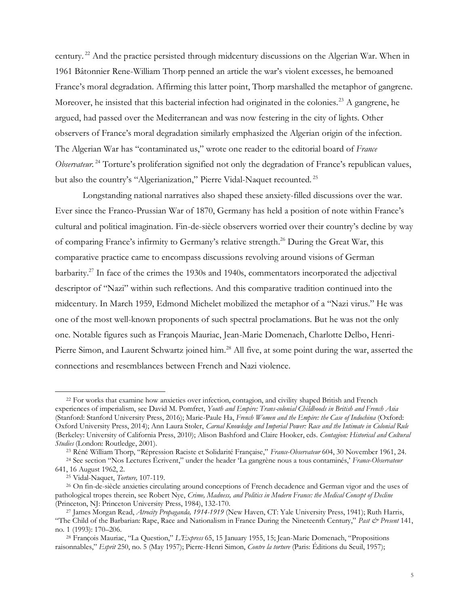century. <sup>22</sup> And the practice persisted through midcentury discussions on the Algerian War. When in 1961 Bâtonnier Rene-William Thorp penned an article the war's violent excesses, he bemoaned France's moral degradation. Affirming this latter point, Thorp marshalled the metaphor of gangrene. Moreover, he insisted that this bacterial infection had originated in the colonies.<sup>23</sup> A gangrene, he argued, had passed over the Mediterranean and was now festering in the city of lights. Other observers of France's moral degradation similarly emphasized the Algerian origin of the infection. The Algerian War has "contaminated us," wrote one reader to the editorial board of *France Observateur.*<sup>24</sup> Torture's proliferation signified not only the degradation of France's republican values, but also the country's "Algerianization," Pierre Vidal-Naquet recounted. <sup>25</sup>

Longstanding national narratives also shaped these anxiety-filled discussions over the war. Ever since the Franco-Prussian War of 1870, Germany has held a position of note within France's cultural and political imagination. Fin-de-siècle observers worried over their country's decline by way of comparing France's infirmity to Germany's relative strength.<sup>26</sup> During the Great War, this comparative practice came to encompass discussions revolving around visions of German barbarity.<sup>27</sup> In face of the crimes the 1930s and 1940s, commentators incorporated the adjectival descriptor of "Nazi" within such reflections. And this comparative tradition continued into the midcentury. In March 1959, Edmond Michelet mobilized the metaphor of a "Nazi virus." He was one of the most well-known proponents of such spectral proclamations. But he was not the only one. Notable figures such as François Mauriac, Jean-Marie Domenach, Charlotte Delbo, Henri-Pierre Simon, and Laurent Schwartz joined him.<sup>28</sup> All five, at some point during the war, asserted the connections and resemblances between French and Nazi violence.

<sup>23</sup> Réné William Thorp, "Répression Raciste et Solidarité Française," *France-Observateur* 604, 30 November 1961, 24.

<sup>22</sup> For works that examine how anxieties over infection, contagion, and civility shaped British and French experiences of imperialism, see David M. Pomfret, *Youth and Empire: Trans-colonial Childhoods in British and French Asia*  (Stanford: Stanford University Press, 2016); Marie-Paule Ha, *French Women and the Empire: the Case of Indochina* (Oxford: Oxford University Press, 2014); Ann Laura Stoler, *Carnal Knowledge and Imperial Power: Race and the Intimate in Colonial Rule* (Berkeley: University of California Press, 2010); Alison Bashford and Claire Hooker, eds. *Contagion: Historical and Cultural Studies* (London: Routledge, 2001).

<sup>24</sup> See section "Nos Lectures Écrivent," under the header 'La gangrène nous a tous contaminés,' *France-Observateur*  641, 16 August 1962, 2.

<sup>25</sup> Vidal-Naquet, *Torture,* 107-119.

<sup>26</sup> On fin-de-siècle anxieties circulating around conceptions of French decadence and German vigor and the uses of pathological tropes therein, see Robert Nye, *Crime, Madness, and Politics in Modern France: the Medical Concept of Decline*  (Princeton, NJ: Princeton University Press, 1984), 132-170.

<sup>27</sup> James Morgan Read, *Atrocity Propaganda, 1914-1919* (New Haven, CT: Yale University Press, 1941); Ruth Harris, "The Child of the Barbarian: Rape, Race and Nationalism in France During the Nineteenth Century," *Past & Present* 141, no. 1 (1993): 170–206.

<sup>28</sup> François Mauriac, "La Question," *L'Express* 65, 15 January 1955, 15; Jean-Marie Domenach, "Propositions raisonnables," *Esprit* 250, no. 5 (May 1957); Pierre-Henri Simon, *Contre la torture* (Paris: Éditions du Seuil, 1957);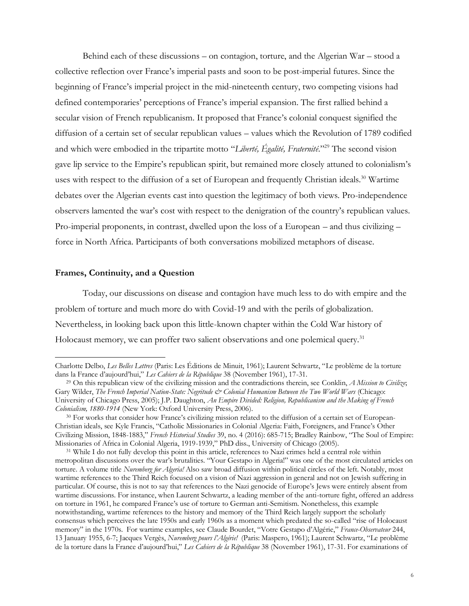Behind each of these discussions – on contagion, torture, and the Algerian War – stood a collective reflection over France's imperial pasts and soon to be post-imperial futures. Since the beginning of France's imperial project in the mid-nineteenth century, two competing visions had defined contemporaries' perceptions of France's imperial expansion. The first rallied behind a secular vision of French republicanism. It proposed that France's colonial conquest signified the diffusion of a certain set of secular republican values – values which the Revolution of 1789 codified and which were embodied in the tripartite motto "*Liberté, Égalité, Fraternité*."<sup>29</sup> The second vision gave lip service to the Empire's republican spirit, but remained more closely attuned to colonialism's uses with respect to the diffusion of a set of European and frequently Christian ideals.<sup>30</sup> Wartime debates over the Algerian events cast into question the legitimacy of both views. Pro-independence observers lamented the war's cost with respect to the denigration of the country's republican values. Pro-imperial proponents, in contrast, dwelled upon the loss of a European – and thus civilizing – force in North Africa. Participants of both conversations mobilized metaphors of disease.

## **Frames, Continuity, and a Question**

Today, our discussions on disease and contagion have much less to do with empire and the problem of torture and much more do with Covid-19 and with the perils of globalization. Nevertheless, in looking back upon this little-known chapter within the Cold War history of Holocaust memory, we can proffer two salient observations and one polemical query.<sup>31</sup>

Charlotte Delbo, *Les Belles Lettres* (Paris: Les Éditions de Minuit, 1961); Laurent Schwartz, "Le problème de la torture dans la France d'aujourd'hui," *Les Cahiers de la République* 38 (November 1961), 17-31.

<sup>29</sup> On this republican view of the civilizing mission and the contradictions therein, see Conklin, *A Mission to Civilize*; Gary Wilder, *The French Imperial Nation-State: Negritude & Colonial Humanism Between the Two World Wars* (Chicago: University of Chicago Press, 2005); J.P. Daughton, *An Empire Divided: Religion, Republicanism and the Making of French Colonialism, 1880-1914* (New York: Oxford University Press, 2006).

<sup>30</sup> For works that consider how France's civilizing mission related to the diffusion of a certain set of European-Christian ideals, see Kyle Francis, "Catholic Missionaries in Colonial Algeria: Faith, Foreigners, and France's Other Civilizing Mission, 1848-1883," *French Historical Studies* 39, no. 4 (2016): 685-715; Bradley Rainbow, "The Soul of Empire: Missionaries of Africa in Colonial Algeria, 1919-1939," PhD diss., University of Chicago (2005).

<sup>31</sup> While I do not fully develop this point in this article, references to Nazi crimes held a central role within metropolitan discussions over the war's brutalities. "Your Gestapo in Algeria!" was one of the most circulated articles on torture. A volume title *Nuremberg for Algeria!* Also saw broad diffusion within political circles of the left. Notably, most wartime references to the Third Reich focused on a vision of Nazi aggression in general and not on Jewish suffering in particular. Of course, this is not to say that references to the Nazi genocide of Europe's Jews were entirely absent from wartime discussions. For instance, when Laurent Schwartz, a leading member of the anti-torture fight, offered an address on torture in 1961, he compared France's use of torture to German anti-Semitism. Nonetheless, this example notwithstanding, wartime references to the history and memory of the Third Reich largely support the scholarly consensus which perceives the late 1950s and early 1960s as a moment which predated the so-called "rise of Holocaust memory" in the 1970s. For wartime examples, see Claude Bourdet, "Votre Gestapo d'Algérie," *France-Observateur* 244, 13 January 1955, 6-7; Jacques Vergès, *Nuremberg pours l'Algérie!* (Paris: Maspero, 1961); Laurent Schwartz, "Le problème de la torture dans la France d'aujourd'hui," *Les Cahiers de la République* 38 (November 1961), 17-31. For examinations of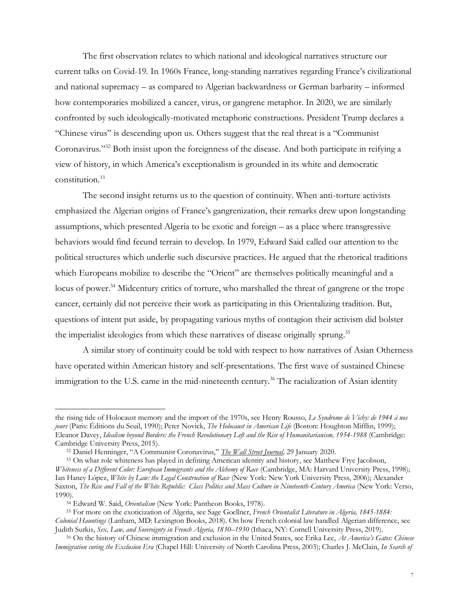The first observation relates to which national and ideological narratives structure our current talks on Covid-19. In 1960s France, long-standing narratives regarding France's civilizational and national supremacy – as compared to Algerian backwardness or German barbarity – informed how contemporaries mobilized a cancer, virus, or gangrene metaphor. In 2020, we are similarly confronted by such ideologically-motivated metaphoric constructions. President Trump declares a "Chinese virus" is descending upon us. Others suggest that the real threat is a "Communist Coronavirus."<sup>32</sup> Both insist upon the foreignness of the disease. And both participate in reifying a view of history, in which America's exceptionalism is grounded in its white and democratic constitution.<sup>33</sup>

The second insight returns us to the question of continuity. When anti-torture activists emphasized the Algerian origins of France's gangrenization, their remarks drew upon longstanding assumptions, which presented Algeria to be exotic and foreign – as a place where transgressive behaviors would find fecund terrain to develop. In 1979, Edward Said called our attention to the political structures which underlie such discursive practices. He argued that the rhetorical traditions which Europeans mobilize to describe the "Orient" are themselves politically meaningful and a locus of power.<sup>34</sup> Midcentury critics of torture, who marshalled the threat of gangrene or the trope cancer, certainly did not perceive their work as participating in this Orientalizing tradition. But, questions of intent put aside, by propagating various myths of contagion their activism did bolster the imperialist ideologies from which these narratives of disease originally sprung.<sup>35</sup>

A similar story of continuity could be told with respect to how narratives of Asian Otherness have operated within American history and self-presentations. The first wave of sustained Chinese immigration to the U.S. came in the mid-nineteenth century.<sup>36</sup> The racialization of Asian identity

the rising tide of Holocaust memory and the import of the 1970s, see Henry Rousso, *Le Syndrome de Vichy: de 1944 à nos jours* (Paris: Éditions du Seuil, 1990); Peter Novick, *The Holocaust in American Life* (Boston: Houghton Mifflin, 1999); Eleanor Davey, *Idealism beyond Borders: the French Revolutionary Left and the Rise of Humanitarianism, 1954-1988* (Cambridge: Cambridge University Press, 2015).

<sup>32</sup> Daniel Henninger, "A Communist Coronavirus," *[The Wall Street Journal,](https://www.wsj.com/articles/a-communist-coronavirus-11580341911)* 29 January 2020.

<sup>33</sup> On what role whiteness has played in defining American identity and history, see Matthew Frye Jacobson, *Whiteness of a Different Color: European Immigrants and the Alchemy of Race* (Cambridge, MA: Harvard University Press, 1998); Ian Haney López, *White by Law: the Legal Construction of Race* (New York: New York University Press, 2006); Alexander Saxton, *The Rise and Fall of the White Republic: Class Politics and Mass Culture in Nineteenth-Century America* (New York: Verso, 1990).

<sup>34</sup> Edward W. Said, *Orientalism* (New York: Pantheon Books, 1978).

<sup>35</sup> For more on the exoticization of Algeria, see Sage Goellner, *French Orientalist Literature in Algeria, 1845-1884: Colonial Hauntings* (Lanham, MD: Lexington Books, 2018). On how French colonial law handled Algerian difference, see Judith Surkis, *Sex, Law, and Sovereignty in French Algeria, 1830–1930* (Ithaca, NY: Cornell University Press, 2019).

<sup>36</sup> On the history of Chinese immigration and exclusion in the United States, see Erika Lee, *At America's Gates: Chinese Immigration curing the Exclusion Era* (Chapel Hill: University of North Carolina Press, 2003); Charles J. McClain, *In Search of*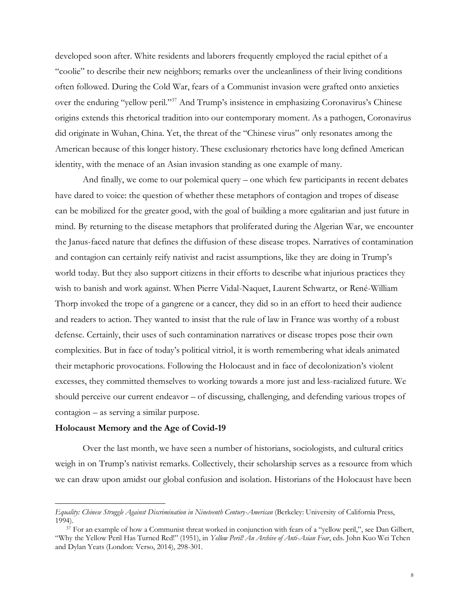developed soon after. White residents and laborers frequently employed the racial epithet of a "coolie" to describe their new neighbors; remarks over the uncleanliness of their living conditions often followed. During the Cold War, fears of a Communist invasion were grafted onto anxieties over the enduring "yellow peril."<sup>37</sup> And Trump's insistence in emphasizing Coronavirus's Chinese origins extends this rhetorical tradition into our contemporary moment. As a pathogen, Coronavirus did originate in Wuhan, China. Yet, the threat of the "Chinese virus" only resonates among the American because of this longer history. These exclusionary rhetorics have long defined American identity, with the menace of an Asian invasion standing as one example of many.

And finally, we come to our polemical query – one which few participants in recent debates have dared to voice: the question of whether these metaphors of contagion and tropes of disease can be mobilized for the greater good, with the goal of building a more egalitarian and just future in mind. By returning to the disease metaphors that proliferated during the Algerian War, we encounter the Janus-faced nature that defines the diffusion of these disease tropes. Narratives of contamination and contagion can certainly reify nativist and racist assumptions, like they are doing in Trump's world today. But they also support citizens in their efforts to describe what injurious practices they wish to banish and work against. When Pierre Vidal-Naquet, Laurent Schwartz, or René-William Thorp invoked the trope of a gangrene or a cancer, they did so in an effort to heed their audience and readers to action. They wanted to insist that the rule of law in France was worthy of a robust defense. Certainly, their uses of such contamination narratives or disease tropes pose their own complexities. But in face of today's political vitriol, it is worth remembering what ideals animated their metaphoric provocations. Following the Holocaust and in face of decolonization's violent excesses, they committed themselves to working towards a more just and less-racialized future. We should perceive our current endeavor – of discussing, challenging, and defending various tropes of contagion – as serving a similar purpose.

## **Holocaust Memory and the Age of Covid-19**

Over the last month, we have seen a number of historians, sociologists, and cultural critics weigh in on Trump's nativist remarks. Collectively, their scholarship serves as a resource from which we can draw upon amidst our global confusion and isolation. Historians of the Holocaust have been

*Equality: Chinese Struggle Against Discrimination in Nineteenth Century-American* (Berkeley: University of California Press, 1994).

<sup>37</sup> For an example of how a Communist threat worked in conjunction with fears of a "yellow peril,", see Dan Gilbert, "Why the Yellow Peril Has Turned Red!" (1951), in *Yellow Peril! An Archive of Anti-Asian Fear*, eds. John Kuo Wei Tchen and Dylan Yeats (London: Verso, 2014), 298-301.